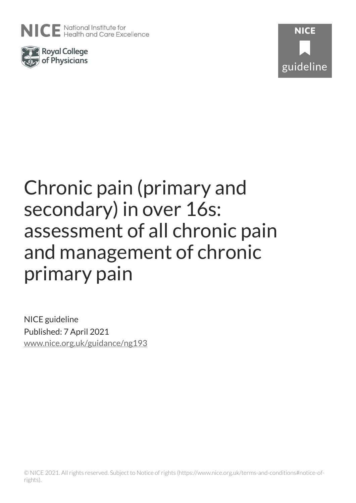





# Chronic pain (primary and secondary) in over 16s: assessment of all chronic pain and management of chronic primary pain

NICE guideline Published: 7 April 2021 [www.nice.org.uk/guidance/ng193](https://www.nice.org.uk/guidance/ng193)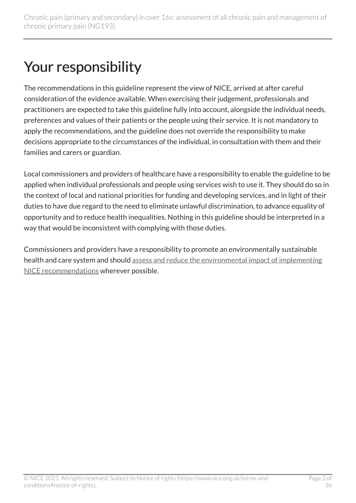# Your responsibility

The recommendations in this guideline represent the view of NICE, arrived at after careful consideration of the evidence available. When exercising their judgement, professionals and practitioners are expected to take this guideline fully into account, alongside the individual needs, preferences and values of their patients or the people using their service. It is not mandatory to apply the recommendations, and the guideline does not override the responsibility to make decisions appropriate to the circumstances of the individual, in consultation with them and their families and carers or guardian.

Local commissioners and providers of healthcare have a responsibility to enable the guideline to be applied when individual professionals and people using services wish to use it. They should do so in the context of local and national priorities for funding and developing services, and in light of their duties to have due regard to the need to eliminate unlawful discrimination, to advance equality of opportunity and to reduce health inequalities. Nothing in this guideline should be interpreted in a way that would be inconsistent with complying with those duties.

Commissioners and providers have a responsibility to promote an environmentally sustainable health and care system and should [assess and reduce the environmental impact of implementing](https://www.nice.org.uk/about/who-we-are/sustainability)  [NICE recommendations](https://www.nice.org.uk/about/who-we-are/sustainability) wherever possible.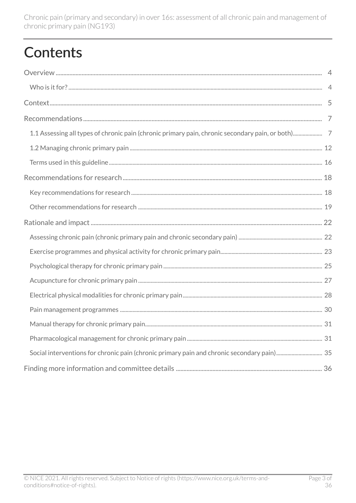Chronic pain (primary and secondary) in over 16s: assessment of all chronic pain and management of chronic primary pain (NG193)

# **Contents**

| Social interventions for chronic pain (chronic primary pain and chronic secondary pain) 35 |  |
|--------------------------------------------------------------------------------------------|--|
|                                                                                            |  |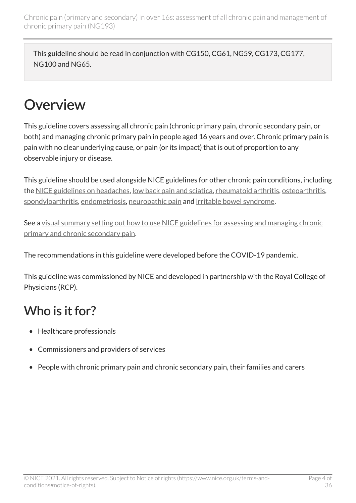This guideline should be read in conjunction with CG150, CG61, NG59, CG173, CG177, NG100 and NG65.

# <span id="page-3-0"></span>**Overview**

This guideline covers assessing all chronic pain (chronic primary pain, chronic secondary pain, or both) and managing chronic primary pain in people aged 16 years and over. Chronic primary pain is pain with no clear underlying cause, or pain (or its impact) that is out of proportion to any observable injury or disease.

This guideline should be used alongside NICE guidelines for other chronic pain conditions, including the [NICE guidelines on headaches,](https://www.nice.org.uk/guidance/cg150) [low back pain and sciatica,](https://www.nice.org.uk/guidance/ng59) [rheumatoid arthritis,](https://www.nice.org.uk/guidance/ng100) [osteoarthritis,](https://www.nice.org.uk/guidance/cg177) [spondyloarthritis,](https://www.nice.org.uk/guidance/ng65) [endometriosis](https://www.nice.org.uk/guidance/ng73), [neuropathic pain](https://www.nice.org.uk/guidance/cg173) and [irritable bowel syndrome](https://www.nice.org.uk/guidance/cg61).

See a visual summary setting out how to use NICE guidelines for assessing and managing chronic [primary and chronic secondary pain.](https://www.nice.org.uk/guidance/ng193/resources/visual-summary-pdf-9073473517)

The recommendations in this guideline were developed before the COVID-19 pandemic.

This guideline was commissioned by NICE and developed in partnership with the Royal College of Physicians (RCP).

## <span id="page-3-1"></span>Who is it for?

- Healthcare professionals
- Commissioners and providers of services
- People with chronic primary pain and chronic secondary pain, their families and carers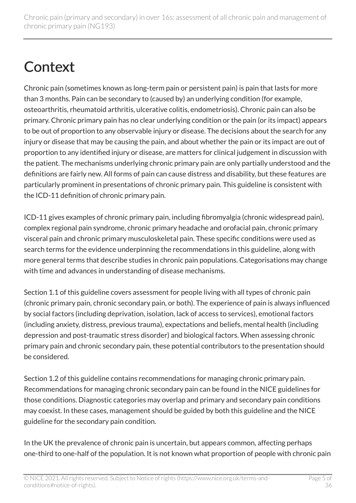# <span id="page-4-0"></span>**Context**

Chronic pain (sometimes known as long-term pain or persistent pain) is pain that lasts for more than 3 months. Pain can be secondary to (caused by) an underlying condition (for example, osteoarthritis, rheumatoid arthritis, ulcerative colitis, endometriosis). Chronic pain can also be primary. Chronic primary pain has no clear underlying condition or the pain (or its impact) appears to be out of proportion to any observable injury or disease. The decisions about the search for any injury or disease that may be causing the pain, and about whether the pain or its impact are out of proportion to any identified injury or disease, are matters for clinical judgement in discussion with the patient. The mechanisms underlying chronic primary pain are only partially understood and the definitions are fairly new. All forms of pain can cause distress and disability, but these features are particularly prominent in presentations of chronic primary pain. This guideline is consistent with the ICD-11 definition of chronic primary pain.

ICD-11 gives examples of chronic primary pain, including fibromyalgia (chronic widespread pain), complex regional pain syndrome, chronic primary headache and orofacial pain, chronic primary visceral pain and chronic primary musculoskeletal pain. These specific conditions were used as search terms for the evidence underpinning the recommendations in this guideline, along with more general terms that describe studies in chronic pain populations. Categorisations may change with time and advances in understanding of disease mechanisms.

Section 1.1 of this guideline covers assessment for people living with all types of chronic pain (chronic primary pain, chronic secondary pain, or both). The experience of pain is always influenced by social factors (including deprivation, isolation, lack of access to services), emotional factors (including anxiety, distress, previous trauma), expectations and beliefs, mental health (including depression and post-traumatic stress disorder) and biological factors. When assessing chronic primary pain and chronic secondary pain, these potential contributors to the presentation should be considered.

Section 1.2 of this guideline contains recommendations for managing chronic primary pain. Recommendations for managing chronic secondary pain can be found in the NICE guidelines for those conditions. Diagnostic categories may overlap and primary and secondary pain conditions may coexist. In these cases, management should be guided by both this guideline and the NICE guideline for the secondary pain condition.

In the UK the prevalence of chronic pain is uncertain, but appears common, affecting perhaps one-third to one-half of the population. It is not known what proportion of people with chronic pain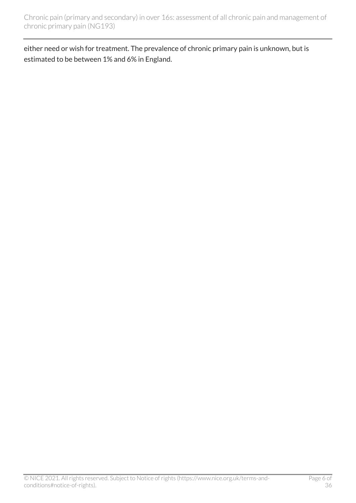either need or wish for treatment. The prevalence of chronic primary pain is unknown, but is estimated to be between 1% and 6% in England.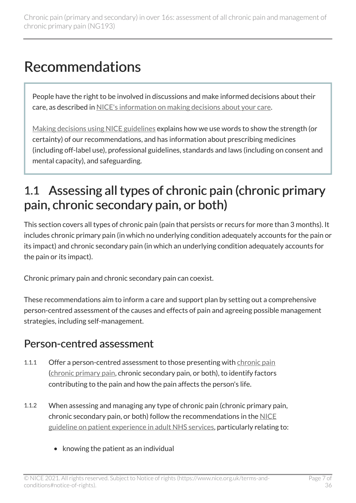# <span id="page-6-0"></span>Recommendations

People have the right to be involved in discussions and make informed decisions about their care, as described in [NICE's information on making decisions about your care](http://www.nice.org.uk/about/nice-communities/public-involvement/your-care).

[Making decisions using NICE guidelines](http://www.nice.org.uk/about/what-we-do/our-programmes/nice-guidance/nice-guidelines/using-NICE-guidelines-to-make-decisions) explains how we use words to show the strength (or certainty) of our recommendations, and has information about prescribing medicines (including off-label use), professional guidelines, standards and laws (including on consent and mental capacity), and safeguarding.

## <span id="page-6-1"></span>1.1 Assessing all types of chronic pain (chronic primary pain, chronic secondary pain, or both)

This section covers all types of chronic pain (pain that persists or recurs for more than 3 months). It includes chronic primary pain (in which no underlying condition adequately accounts for the pain or its impact) and chronic secondary pain (in which an underlying condition adequately accounts for the pain or its impact).

Chronic primary pain and chronic secondary pain can coexist.

These recommendations aim to inform a care and support plan by setting out a comprehensive person-centred assessment of the causes and effects of pain and agreeing possible management strategies, including self-management.

#### <span id="page-6-2"></span>Person-centred assessment

- 1.1.1 Offer a person-centred assessment to those presenting with [chronic pain](#page-15-1)  ([chronic primary pain,](#page-15-2) chronic secondary pain, or both), to identify factors contributing to the pain and how the pain affects the person's life.
- 1.1.2 When assessing and managing any type of chronic pain (chronic primary pain, chronic secondary pain, or both) follow the recommendations in the [NICE](https://www.nice.org.uk/guidance/cg138)  [guideline on patient experience in adult NHS services](https://www.nice.org.uk/guidance/cg138), particularly relating to:
	- knowing the patient as an individual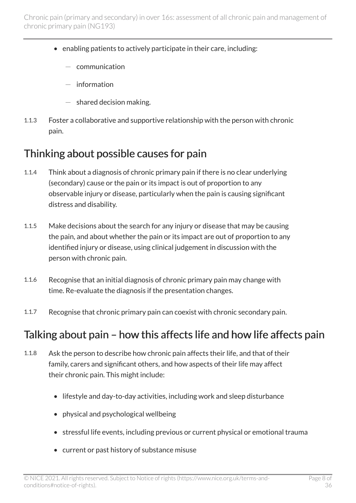- enabling patients to actively participate in their care, including:
	- communication
	- $-$  information
	- $-$  shared decision making.
- 1.1.3 Foster a collaborative and supportive relationship with the person with chronic pain.

### Thinking about possible causes for pain

- 1.1.4 Think about a diagnosis of chronic primary pain if there is no clear underlying (secondary) cause or the pain or its impact is out of proportion to any observable injury or disease, particularly when the pain is causing significant distress and disability.
- 1.1.5 Make decisions about the search for any injury or disease that may be causing the pain, and about whether the pain or its impact are out of proportion to any identified injury or disease, using clinical judgement in discussion with the person with chronic pain.
- 1.1.6 Recognise that an initial diagnosis of chronic primary pain may change with time. Re-evaluate the diagnosis if the presentation changes.
- 1.1.7 Recognise that chronic primary pain can coexist with chronic secondary pain.

#### Talking about pain – how this affects life and how life affects pain

- 1.1.8 Ask the person to describe how chronic pain affects their life, and that of their family, carers and significant others, and how aspects of their life may affect their chronic pain. This might include:
	- lifestyle and day-to-day activities, including work and sleep disturbance
	- physical and psychological wellbeing
	- stressful life events, including previous or current physical or emotional trauma
	- current or past history of substance misuse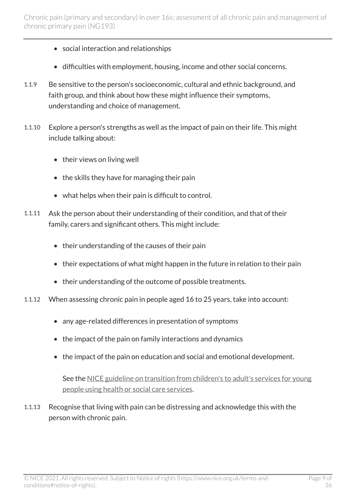- social interaction and relationships
- difficulties with employment, housing, income and other social concerns.
- 1.1.9 Be sensitive to the person's socioeconomic, cultural and ethnic background, and faith group, and think about how these might influence their symptoms, understanding and choice of management.
- 1.1.10 Explore a person's strengths as well as the impact of pain on their life. This might include talking about:
	- their views on living well
	- the skills they have for managing their pain
	- what helps when their pain is difficult to control.
- 1.1.11 Ask the person about their understanding of their condition, and that of their family, carers and significant others. This might include:
	- their understanding of the causes of their pain
	- their expectations of what might happen in the future in relation to their pain
	- their understanding of the outcome of possible treatments.
- 1.1.12 When assessing chronic pain in people aged 16 to 25 years, take into account:
	- any age-related differences in presentation of symptoms
	- the impact of the pain on family interactions and dynamics
	- the impact of the pain on education and social and emotional development.

See the [NICE guideline on transition from children's to adult's services for young](https://www.nice.org.uk/guidance/ng43) [people using health or social care services.](https://www.nice.org.uk/guidance/ng43)

1.1.13 Recognise that living with pain can be distressing and acknowledge this with the person with chronic pain.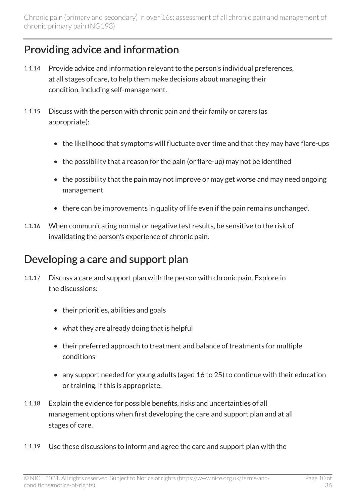## Providing advice and information

- 1.1.14 Provide advice and information relevant to the person's individual preferences, at all stages of care, to help them make decisions about managing their condition, including self-management.
- 1.1.15 Discuss with the person with chronic pain and their family or carers (as appropriate):
	- the likelihood that symptoms will fluctuate over time and that they may have flare-ups
	- the possibility that a reason for the pain (or flare-up) may not be identified
	- the possibility that the pain may not improve or may get worse and may need ongoing management
	- there can be improvements in quality of life even if the pain remains unchanged.
- 1.1.16 When communicating normal or negative test results, be sensitive to the risk of invalidating the person's experience of chronic pain.

### Developing a care and support plan

- 1.1.17 Discuss a care and support plan with the person with chronic pain. Explore in the discussions:
	- their priorities, abilities and goals
	- what they are already doing that is helpful
	- their preferred approach to treatment and balance of treatments for multiple conditions
	- any support needed for young adults (aged 16 to 25) to continue with their education or training, if this is appropriate.
- 1.1.18 Explain the evidence for possible benefits, risks and uncertainties of all management options when first developing the care and support plan and at all stages of care.
- 1.1.19 Use these discussions to inform and agree the care and support plan with the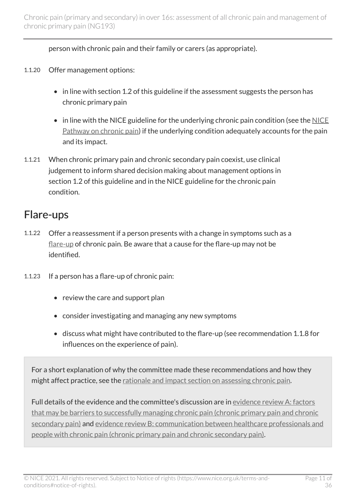person with chronic pain and their family or carers (as appropriate).

- 1.1.20 Offer management options:
	- in line with section 1.2 of this guideline if the assessment suggests the person has chronic primary pain
	- $\bullet$  in line with the [NICE](http://pathways.nice.org.uk/pathways/chronic-pain-primary-and-secondary%23content=view-node%3Anodes-managing-all-types-of-chronic-pain) guideline for the underlying chronic pain condition (see the NICE [Pathway on chronic pain\)](http://pathways.nice.org.uk/pathways/chronic-pain-primary-and-secondary%23content=view-node%3Anodes-managing-all-types-of-chronic-pain) if the underlying condition adequately accounts for the pain and its impact.
- 1.1.21 When chronic primary pain and chronic secondary pain coexist, use clinical judgement to inform shared decision making about management options in section 1.2 of this guideline and in the NICE guideline for the chronic pain condition.

#### Flare-ups

- 1.1.22 Offer a reassessment if a person presents with a change in symptoms such as a [flare-up](#page-15-3) of chronic pain. Be aware that a cause for the flare-up may not be identified.
- 1.1.23 If a person has a flare-up of chronic pain:
	- review the care and support plan
	- consider investigating and managing any new symptoms
	- discuss what might have contributed to the flare-up (see recommendation 1.1.8 for influences on the experience of pain).

For a short explanation of why the committee made these recommendations and how they might affect practice, see the [rationale and impact section on assessing chronic pain.](#page-21-1)

Full details of the evidence and the committee's discussion are in [evidence review A: factors](https://www.nice.org.uk/guidance/ng193/evidence/a-factors-that-may-be-barriers-to-successfully-managing-chronic-pain-chronic-primary-pain-and-chronic-secondary-pain-pdf-9071987006) [that may be barriers to successfully managing chronic pain \(chronic primary pain and chronic](https://www.nice.org.uk/guidance/ng193/evidence/a-factors-that-may-be-barriers-to-successfully-managing-chronic-pain-chronic-primary-pain-and-chronic-secondary-pain-pdf-9071987006)  [secondary pain\)](https://www.nice.org.uk/guidance/ng193/evidence/a-factors-that-may-be-barriers-to-successfully-managing-chronic-pain-chronic-primary-pain-and-chronic-secondary-pain-pdf-9071987006) and [evidence review B: communication between healthcare professionals and](https://www.nice.org.uk/guidance/ng193/evidence/b-communication-between-healthcare-professionals-and-people-with-chronic-pain-chronic-primary-pain-and-chronic-secondary-pain-pdf-9071987007) [people with chronic pain \(chronic primary pain and chronic secondary pain\).](https://www.nice.org.uk/guidance/ng193/evidence/b-communication-between-healthcare-professionals-and-people-with-chronic-pain-chronic-primary-pain-and-chronic-secondary-pain-pdf-9071987007)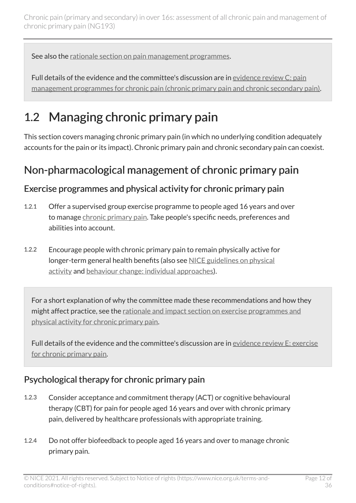See also the [rationale section on pain management programmes](#page-29-0).

Full details of the evidence and the committee's discussion are in [evidence review C: pain](https://www.nice.org.uk/guidance/ng193/evidence/c-pain-management-programmes-chronic-primary-pain-and-chronic-secondary-pain-pdf-9071987008)  [management programmes for chronic pain \(chronic primary pain and chronic secondary pain\)](https://www.nice.org.uk/guidance/ng193/evidence/c-pain-management-programmes-chronic-primary-pain-and-chronic-secondary-pain-pdf-9071987008).

## <span id="page-11-0"></span>1.2 Managing chronic primary pain

This section covers managing chronic primary pain (in which no underlying condition adequately accounts for the pain or its impact). Chronic primary pain and chronic secondary pain can coexist.

#### Non-pharmacological management of chronic primary pain

#### <span id="page-11-1"></span>Exercise programmes and physical activity for chronic primary pain

- 1.2.1 Offer a supervised group exercise programme to people aged 16 years and over to manage [chronic primary pain.](#page-15-2) Take people's specific needs, preferences and abilities into account.
- 1.2.2 Encourage people with chronic primary pain to remain physically active for longer-term general health benefits (also see [NICE guidelines on physical](https://www.nice.org.uk/guidance/lifestyle-and-wellbeing/physical-activity) [activity](https://www.nice.org.uk/guidance/lifestyle-and-wellbeing/physical-activity) and [behaviour change: individual approaches\)](https://www.nice.org.uk/guidance/ph49).

For a short explanation of why the committee made these recommendations and how they might affect practice, see the [rationale and impact section on exercise programmes and](#page-22-0) [physical activity for chronic primary pain](#page-22-0).

Full details of the evidence and the committee's discussion are in [evidence review](https://www.nice.org.uk/guidance/ng193/evidence/e-exercise-for-chronic-primary-pain-pdf-9071987010) E: exercise [for chronic primary pain](https://www.nice.org.uk/guidance/ng193/evidence/e-exercise-for-chronic-primary-pain-pdf-9071987010).

#### <span id="page-11-2"></span>Psychological therapy for chronic primary pain

- 1.2.3 Consider acceptance and commitment therapy (ACT) or cognitive behavioural therapy (CBT) for pain for people aged 16 years and over with chronic primary pain, delivered by healthcare professionals with appropriate training.
- 1.2.4 Do not offer biofeedback to people aged 16 years and over to manage chronic primary pain.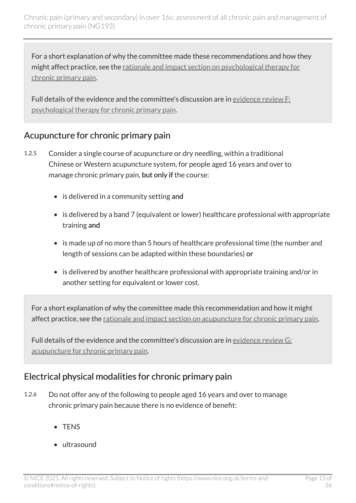For a short explanation of why the committee made these recommendations and how they might affect practice, see the [rationale and impact section on psychological therapy for](#page-24-0)  [chronic primary pain](#page-24-0).

Full details of the evidence and the committee's discussion are in [evidence review](https://www.nice.org.uk/guidance/ng193/evidence/f-psychological-therapy-for-chronic-primary-pain-pdf-9071987011) F: [psychological therapy for chronic primary pain](https://www.nice.org.uk/guidance/ng193/evidence/f-psychological-therapy-for-chronic-primary-pain-pdf-9071987011).

#### <span id="page-12-0"></span>Acupuncture for chronic primary pain

- 1.2.5 Consider a single course of acupuncture or dry needling, within a traditional Chinese or Western acupuncture system, for people aged 16 years and over to manage chronic primary pain, but only if the course:
	- is delivered in a community setting and
	- is delivered by a band 7 (equivalent or lower) healthcare professional with appropriate training and
	- is made up of no more than 5 hours of healthcare professional time (the number and length of sessions can be adapted within these boundaries) or
	- is delivered by another healthcare professional with appropriate training and/or in another setting for equivalent or lower cost.

For a short explanation of why the committee made this recommendation and how it might affect practice, see the [rationale and impact section on acupuncture for chronic primary pain.](#page-26-0)

Full details of the evidence and the committee's discussion are in [evidence review](https://www.nice.org.uk/guidance/ng193/evidence/g-acupuncture-for-chronic-primary-pain-pdf-9071987012) G: [acupuncture for chronic primary pain.](https://www.nice.org.uk/guidance/ng193/evidence/g-acupuncture-for-chronic-primary-pain-pdf-9071987012)

#### <span id="page-12-1"></span>Electrical physical modalities for chronic primary pain

- 1.2.6 Do not offer any of the following to people aged 16 years and over to manage chronic primary pain because there is no evidence of benefit:
	- TENS
	- ultrasound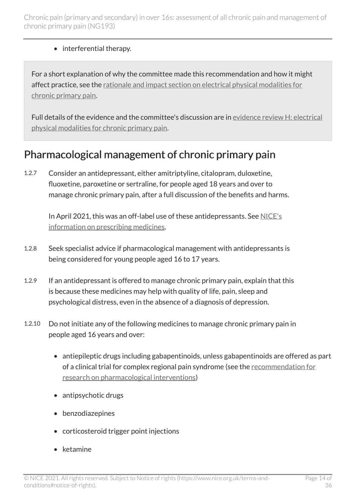#### • interferential therapy.

For a short explanation of why the committee made this recommendation and how it might affect practice, see the [rationale and impact section on electrical physical modalities for](#page-27-0) [chronic primary pain](#page-27-0).

Full details of the evidence and the committee's discussion are in [evidence review](https://www.nice.org.uk/guidance/ng193/evidence/h-electrical-physical-modalities-for-chronic-primary-pain-pdf-9071987013) H: electrical [physical modalities for chronic primary pain.](https://www.nice.org.uk/guidance/ng193/evidence/h-electrical-physical-modalities-for-chronic-primary-pain-pdf-9071987013)

#### <span id="page-13-0"></span>Pharmacological management of chronic primary pain

1.2.7 Consider an antidepressant, either amitriptyline, citalopram, duloxetine, fluoxetine, paroxetine or sertraline, for people aged 18 years and over to manage chronic primary pain, after a full discussion of the benefits and harms.

In April 2021, this was an off-label use of these antidepressants. See [NICE's](https://www.nice.org.uk/about/what-we-do/our-programmes/nice-guidance/nice-guidelines/making-decisions-using-nice-guidelines#prescribing-medicines) [information on prescribing medicines](https://www.nice.org.uk/about/what-we-do/our-programmes/nice-guidance/nice-guidelines/making-decisions-using-nice-guidelines#prescribing-medicines).

- 1.2.8 Seek specialist advice if pharmacological management with antidepressants is being considered for young people aged 16 to 17 years.
- 1.2.9 If an antidepressant is offered to manage chronic primary pain, explain that this is because these medicines may help with quality of life, pain, sleep and psychological distress, even in the absence of a diagnosis of depression.
- 1.2.10 Do not initiate any of the following medicines to manage chronic primary pain in people aged 16 years and over:
	- antiepileptic drugs including gabapentinoids, unless gabapentinoids are offered as part of a clinical trial for complex regional pain syndrome (see the [recommendation for](#page-18-1) [research on pharmacological interventions](#page-18-1))
	- antipsychotic drugs
	- benzodiazepines
	- corticosteroid trigger point injections
	- ketamine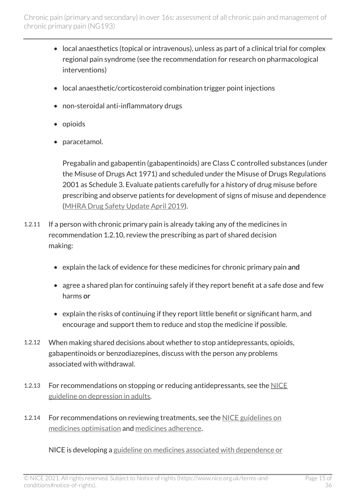- local anaesthetics (topical or intravenous), unless as part of a clinical trial for complex regional pain syndrome (see the recommendation for research on pharmacological interventions)
- local anaesthetic/corticosteroid combination trigger point injections
- non-steroidal anti-inflammatory drugs
- opioids
- paracetamol.

Pregabalin and gabapentin (gabapentinoids) are Class C controlled substances (under the Misuse of Drugs Act 1971) and scheduled under the Misuse of Drugs Regulations 2001 as Schedule 3. Evaluate patients carefully for a history of drug misuse before prescribing and observe patients for development of signs of misuse and dependence [\(MHRA Drug Safety Update April 2019](https://www.gov.uk/drug-safety-update/pregabalin-lyrica-gabapentin-neurontin-and-risk-of-abuse-and-dependence-new-scheduling-requirements-from-1-april)).

- 1.2.11 If a person with chronic primary pain is already taking any of the medicines in recommendation 1.2.10, review the prescribing as part of shared decision making:
	- explain the lack of evidence for these medicines for chronic primary pain and
	- agree a shared plan for continuing safely if they report benefit at a safe dose and few harms or
	- explain the risks of continuing if they report little benefit or significant harm, and encourage and support them to reduce and stop the medicine if possible.
- 1.2.12 When making shared decisions about whether to stop antidepressants, opioids, gabapentinoids or benzodiazepines, discuss with the person any problems associated with withdrawal.
- 1.2.13 For recommendations on stopping or reducing antidepressants, see the NICE [guideline on depression in adults](https://www.nice.org.uk/guidance/cg90).
- 1.2.14 For recommendations on reviewing treatments, see the NICE guidelines on [medicines optimisation](https://www.nice.org.uk/guidance/ng5) and [medicines adherence.](https://www.nice.org.uk/guidance/cg76)

NICE is developing a [guideline on medicines associated with dependence or](https://www.nice.org.uk/guidance/indevelopment/gid-ng10141)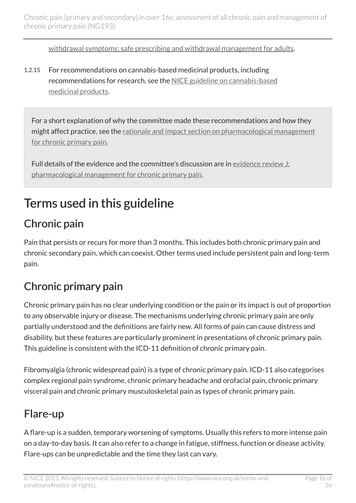[withdrawal symptoms: safe prescribing and withdrawal management for adults](https://www.nice.org.uk/guidance/indevelopment/gid-ng10141).

1.2.15 For recommendations on cannabis-based medicinal products, including recommendations for research, see the [NICE guideline on cannabis-based](https://www.nice.org.uk/guidance/ng144) [medicinal products.](https://www.nice.org.uk/guidance/ng144)

For a short explanation of why the committee made these recommendations and how they might affect practice, see the [rationale and impact section on pharmacological management](#page-30-1) [for chronic primary pain](#page-30-1).

Full details of the evidence and the committee's discussion are in [evidence review](https://www.nice.org.uk/guidance/ng193/evidence/j-pharmacological-management-for-chronic-primary-pain-pdf-326591532181) J: [pharmacological management for chronic primary pain](https://www.nice.org.uk/guidance/ng193/evidence/j-pharmacological-management-for-chronic-primary-pain-pdf-326591532181).

## <span id="page-15-0"></span>Terms used in this guideline

## <span id="page-15-1"></span>Chronic pain

Pain that persists or recurs for more than 3 months. This includes both chronic primary pain and chronic secondary pain, which can coexist. Other terms used include persistent pain and long-term pain.

## <span id="page-15-2"></span>Chronic primary pain

Chronic primary pain has no clear underlying condition or the pain or its impact is out of proportion to any observable injury or disease. The mechanisms underlying chronic primary pain are only partially understood and the definitions are fairly new. All forms of pain can cause distress and disability, but these features are particularly prominent in presentations of chronic primary pain. This guideline is consistent with the ICD-11 definition of chronic primary pain.

Fibromyalgia (chronic widespread pain) is a type of chronic primary pain. ICD-11 also categorises complex regional pain syndrome, chronic primary headache and orofacial pain, chronic primary visceral pain and chronic primary musculoskeletal pain as types of chronic primary pain.

## <span id="page-15-3"></span>Flare-up

A flare-up is a sudden, temporary worsening of symptoms. Usually this refers to more intense pain on a day-to-day basis. It can also refer to a change in fatigue, stiffness, function or disease activity. Flare-ups can be unpredictable and the time they last can vary.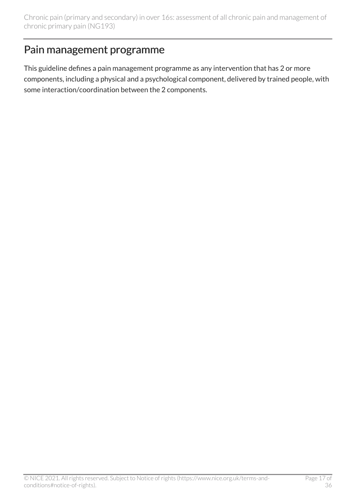### <span id="page-16-0"></span>Pain management programme

This guideline defines a pain management programme as any intervention that has 2 or more components, including a physical and a psychological component, delivered by trained people, with some interaction/coordination between the 2 components.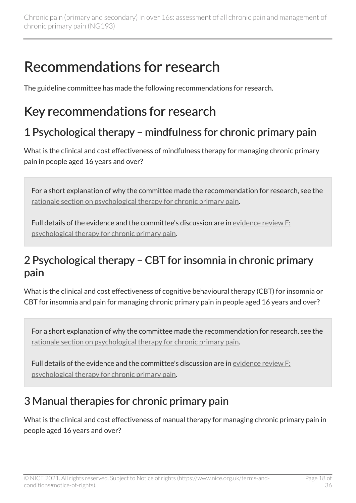# <span id="page-17-0"></span>Recommendations for research

The guideline committee has made the following recommendations for research.

## <span id="page-17-1"></span>Key recommendations for research

## <span id="page-17-3"></span>1 Psychological therapy – mindfulness for chronic primary pain

What is the clinical and cost effectiveness of mindfulness therapy for managing chronic primary pain in people aged 16 years and over?

For a short explanation of why the committee made the recommendation for research, see the [rationale section on psychological therapy for chronic primary pain](#page-24-0).

Full details of the evidence and the committee's discussion are in [evidence review](https://www.nice.org.uk/guidance/ng193/evidence/f-psychological-therapy-for-chronic-primary-pain-pdf-9071987011) F: [psychological therapy for chronic primary pain](https://www.nice.org.uk/guidance/ng193/evidence/f-psychological-therapy-for-chronic-primary-pain-pdf-9071987011).

### <span id="page-17-2"></span>2 Psychological therapy – CBT for insomnia in chronic primary pain

What is the clinical and cost effectiveness of cognitive behavioural therapy (CBT) for insomnia or CBT for insomnia and pain for managing chronic primary pain in people aged 16 years and over?

For a short explanation of why the committee made the recommendation for research, see the [rationale section on psychological therapy for chronic primary pain](#page-24-0).

Full details of the evidence and the committee's discussion are in [evidence review](https://www.nice.org.uk/guidance/ng193/evidence/f-psychological-therapy-for-chronic-primary-pain-pdf-9071987011) F: [psychological therapy for chronic primary pain](https://www.nice.org.uk/guidance/ng193/evidence/f-psychological-therapy-for-chronic-primary-pain-pdf-9071987011).

## <span id="page-17-4"></span>3 Manual therapies for chronic primary pain

What is the clinical and cost effectiveness of manual therapy for managing chronic primary pain in people aged 16 years and over?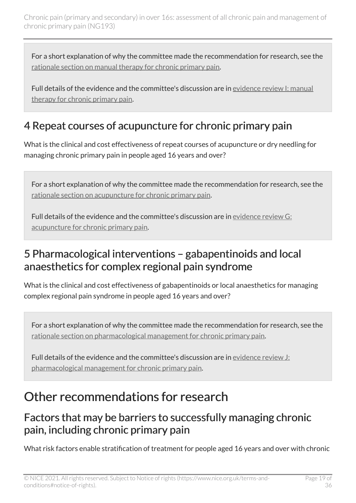For a short explanation of why the committee made the recommendation for research, see the [rationale section on manual therapy for chronic primary pain](#page-30-0).

Full details of the evidence and the committee's discussion are in [evidence review](https://www.nice.org.uk/guidance/ng193/evidence/i-manual-therapy-for-chronic-primary-pain-pdf-326591532180) I: manual [therapy for chronic primary pain](https://www.nice.org.uk/guidance/ng193/evidence/i-manual-therapy-for-chronic-primary-pain-pdf-326591532180).

## <span id="page-18-2"></span>4 Repeat courses of acupuncture for chronic primary pain

What is the clinical and cost effectiveness of repeat courses of acupuncture or dry needling for managing chronic primary pain in people aged 16 years and over?

For a short explanation of why the committee made the recommendation for research, see the [rationale section on acupuncture for chronic primary pain](#page-26-0).

Full details of the evidence and the committee's discussion are in [evidence review](https://www.nice.org.uk/guidance/ng193/evidence/g-acupuncture-for-chronic-primary-pain-pdf-9071987012) G: [acupuncture for chronic primary pain.](https://www.nice.org.uk/guidance/ng193/evidence/g-acupuncture-for-chronic-primary-pain-pdf-9071987012)

#### <span id="page-18-1"></span>5 Pharmacological interventions – gabapentinoids and local anaesthetics for complex regional pain syndrome

What is the clinical and cost effectiveness of gabapentinoids or local anaesthetics for managing complex regional pain syndrome in people aged 16 years and over?

For a short explanation of why the committee made the recommendation for research, see the [rationale section on pharmacological management for chronic primary pain.](#page-30-1)

Full details of the evidence and the committee's discussion are in [evidence review](https://www.nice.org.uk/guidance/ng193/evidence/j-pharmacological-management-for-chronic-primary-pain-pdf-326591532181) J: [pharmacological management for chronic primary pain](https://www.nice.org.uk/guidance/ng193/evidence/j-pharmacological-management-for-chronic-primary-pain-pdf-326591532181).

## <span id="page-18-0"></span>Other recommendations for research

### Factors that may be barriers to successfully managing chronic pain, including chronic primary pain

What risk factors enable stratification of treatment for people aged 16 years and over with chronic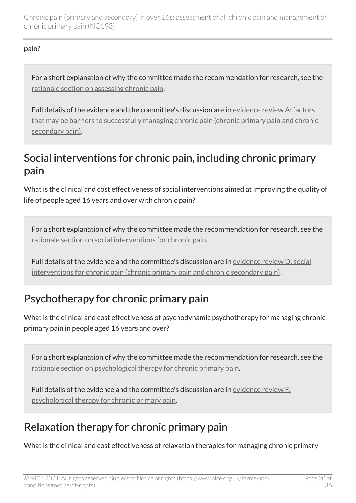#### pain?

For a short explanation of why the committee made the recommendation for research, see the [rationale section on assessing chronic pain](#page-21-1).

Full details of the evidence and the committee's discussion are in [evidence review](https://www.nice.org.uk/guidance/ng193/evidence/a-factors-that-may-be-barriers-to-successfully-managing-chronic-pain-chronic-primary-pain-and-chronic-secondary-pain-pdf-9071987006) A: factors [that may be barriers to successfully managing chronic pain \(chronic primary pain and chronic](https://www.nice.org.uk/guidance/ng193/evidence/a-factors-that-may-be-barriers-to-successfully-managing-chronic-pain-chronic-primary-pain-and-chronic-secondary-pain-pdf-9071987006)  [secondary pain\)](https://www.nice.org.uk/guidance/ng193/evidence/a-factors-that-may-be-barriers-to-successfully-managing-chronic-pain-chronic-primary-pain-and-chronic-secondary-pain-pdf-9071987006).

### <span id="page-19-2"></span>Social interventions for chronic pain, including chronic primary pain

What is the clinical and cost effectiveness of social interventions aimed at improving the quality of life of people aged 16 years and over with chronic pain?

For a short explanation of why the committee made the recommendation for research, see the [rationale section on social interventions for chronic pain.](#page-34-0)

Full details of the evidence and the committee's discussion are in [evidence review](https://www.nice.org.uk/guidance/ng193/evidence/d-social-interventions-for-chronic-pain-chronic-primary-pain-and-chronic-secondary-pain-pdf-9071987009) D: social [interventions for chronic pain \(chronic primary pain and chronic secondary pain\).](https://www.nice.org.uk/guidance/ng193/evidence/d-social-interventions-for-chronic-pain-chronic-primary-pain-and-chronic-secondary-pain-pdf-9071987009)

## <span id="page-19-1"></span>Psychotherapy for chronic primary pain

What is the clinical and cost effectiveness of psychodynamic psychotherapy for managing chronic primary pain in people aged 16 years and over?

For a short explanation of why the committee made the recommendation for research, see the [rationale section on psychological therapy for chronic primary pain](#page-24-0).

Full details of the evidence and the committee's discussion are in [evidence review](https://www.nice.org.uk/guidance/ng193/evidence/f-psychological-therapy-for-chronic-primary-pain-pdf-9071987011) F: [psychological therapy for chronic primary pain](https://www.nice.org.uk/guidance/ng193/evidence/f-psychological-therapy-for-chronic-primary-pain-pdf-9071987011).

## <span id="page-19-0"></span>Relaxation therapy for chronic primary pain

What is the clinical and cost effectiveness of relaxation therapies for managing chronic primary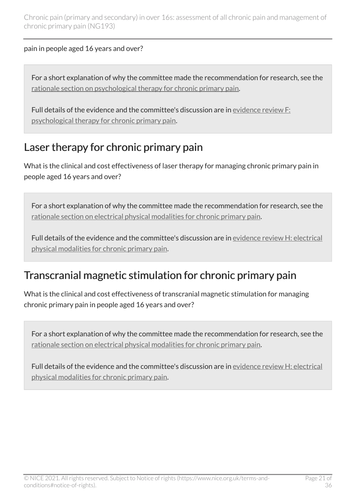#### pain in people aged 16 years and over?

For a short explanation of why the committee made the recommendation for research, see the [rationale section on psychological therapy for chronic primary pain](#page-24-0).

Full details of the evidence and the committee's discussion are in [evidence review](https://www.nice.org.uk/guidance/ng193/evidence/f-psychological-therapy-for-chronic-primary-pain-pdf-9071987011) F: [psychological therapy for chronic primary pain](https://www.nice.org.uk/guidance/ng193/evidence/f-psychological-therapy-for-chronic-primary-pain-pdf-9071987011).

### <span id="page-20-0"></span>Laser therapy for chronic primary pain

What is the clinical and cost effectiveness of laser therapy for managing chronic primary pain in people aged 16 years and over?

For a short explanation of why the committee made the recommendation for research, see the [rationale section on electrical physical modalities for chronic primary pain.](#page-27-0)

Full details of the evidence and the committee's discussion are in [evidence review](https://www.nice.org.uk/guidance/ng193/evidence/h-electrical-physical-modalities-for-chronic-primary-pain-pdf-9071987013) H: electrical [physical modalities for chronic primary pain.](https://www.nice.org.uk/guidance/ng193/evidence/h-electrical-physical-modalities-for-chronic-primary-pain-pdf-9071987013)

### <span id="page-20-1"></span>Transcranial magnetic stimulation for chronic primary pain

What is the clinical and cost effectiveness of transcranial magnetic stimulation for managing chronic primary pain in people aged 16 years and over?

For a short explanation of why the committee made the recommendation for research, see the [rationale section on electrical physical modalities for chronic primary pain.](#page-27-0)

Full details of the evidence and the committee's discussion are in [evidence review](https://www.nice.org.uk/guidance/ng193/evidence/h-electrical-physical-modalities-for-chronic-primary-pain-pdf-9071987013) H: electrical [physical modalities for chronic primary pain.](https://www.nice.org.uk/guidance/ng193/evidence/h-electrical-physical-modalities-for-chronic-primary-pain-pdf-9071987013)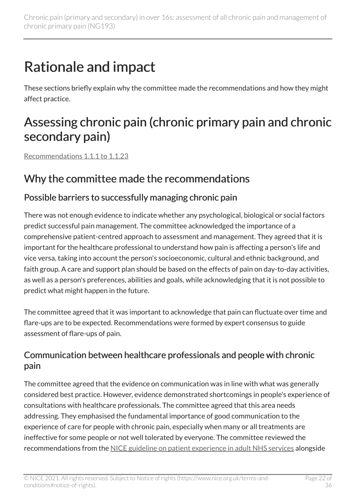# <span id="page-21-0"></span>Rationale and impact

These sections briefly explain why the committee made the recommendations and how they might affect practice.

## <span id="page-21-1"></span>Assessing chronic pain (chronic primary pain and chronic secondary pain)

[Recommendations 1.1.1 to 1.1.23](#page-6-2) 

### Why the committee made the recommendations

#### Possible barriers to successfully managing chronic pain

There was not enough evidence to indicate whether any psychological, biological or social factors predict successful pain management. The committee acknowledged the importance of a comprehensive patient-centred approach to assessment and management. They agreed that it is important for the healthcare professional to understand how pain is affecting a person's life and vice versa, taking into account the person's socioeconomic, cultural and ethnic background, and faith group. A care and support plan should be based on the effects of pain on day-to-day activities, as well as a person's preferences, abilities and goals, while acknowledging that it is not possible to predict what might happen in the future.

The committee agreed that it was important to acknowledge that pain can fluctuate over time and flare-ups are to be expected. Recommendations were formed by expert consensus to guide assessment of flare-ups of pain.

#### Communication between healthcare professionals and people with chronic pain

The committee agreed that the evidence on communication was in line with what was generally considered best practice. However, evidence demonstrated shortcomings in people's experience of consultations with healthcare professionals. The committee agreed that this area needs addressing. They emphasised the fundamental importance of good communication to the experience of care for people with chronic pain, especially when many or all treatments are ineffective for some people or not well tolerated by everyone. The committee reviewed the recommendations from the [NICE guideline on patient experience in adult NHS services](https://www.nice.org.uk/guidance/cg138) alongside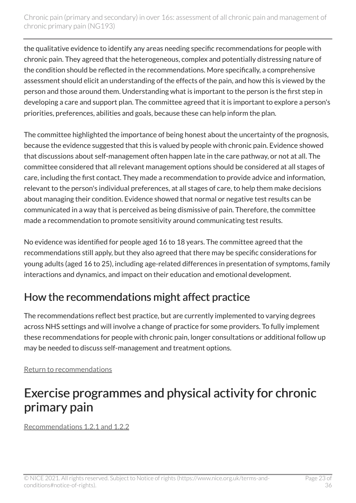the qualitative evidence to identify any areas needing specific recommendations for people with chronic pain. They agreed that the heterogeneous, complex and potentially distressing nature of the condition should be reflected in the recommendations. More specifically, a comprehensive assessment should elicit an understanding of the effects of the pain, and how this is viewed by the person and those around them. Understanding what is important to the person is the first step in developing a care and support plan. The committee agreed that it is important to explore a person's priorities, preferences, abilities and goals, because these can help inform the plan.

The committee highlighted the importance of being honest about the uncertainty of the prognosis, because the evidence suggested that this is valued by people with chronic pain. Evidence showed that discussions about self-management often happen late in the care pathway, or not at all. The committee considered that all relevant management options should be considered at all stages of care, including the first contact. They made a recommendation to provide advice and information, relevant to the person's individual preferences, at all stages of care, to help them make decisions about managing their condition. Evidence showed that normal or negative test results can be communicated in a way that is perceived as being dismissive of pain. Therefore, the committee made a recommendation to promote sensitivity around communicating test results.

No evidence was identified for people aged 16 to 18 years. The committee agreed that the recommendations still apply, but they also agreed that there may be specific considerations for young adults (aged 16 to 25), including age-related differences in presentation of symptoms, family interactions and dynamics, and impact on their education and emotional development.

## How the recommendations might affect practice

The recommendations reflect best practice, but are currently implemented to varying degrees across NHS settings and will involve a change of practice for some providers. To fully implement these recommendations for people with chronic pain, longer consultations or additional follow up may be needed to discuss self-management and treatment options.

[Return to recommendations](#page-6-2)

## <span id="page-22-0"></span>Exercise programmes and physical activity for chronic primary pain

[Recommendations 1.2.1 and 1.2.2](#page-11-1)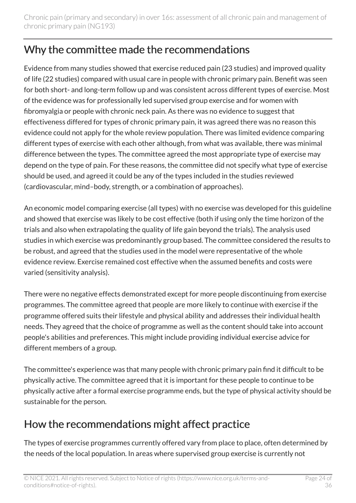## Why the committee made the recommendations

Evidence from many studies showed that exercise reduced pain (23 studies) and improved quality of life (22 studies) compared with usual care in people with chronic primary pain. Benefit was seen for both short- and long-term follow up and was consistent across different types of exercise. Most of the evidence was for professionally led supervised group exercise and for women with fibromyalgia or people with chronic neck pain. As there was no evidence to suggest that effectiveness differed for types of chronic primary pain, it was agreed there was no reason this evidence could not apply for the whole review population. There was limited evidence comparing different types of exercise with each other although, from what was available, there was minimal difference between the types. The committee agreed the most appropriate type of exercise may depend on the type of pain. For these reasons, the committee did not specify what type of exercise should be used, and agreed it could be any of the types included in the studies reviewed (cardiovascular, mind–body, strength, or a combination of approaches).

An economic model comparing exercise (all types) with no exercise was developed for this guideline and showed that exercise was likely to be cost effective (both if using only the time horizon of the trials and also when extrapolating the quality of life gain beyond the trials). The analysis used studies in which exercise was predominantly group based. The committee considered the results to be robust, and agreed that the studies used in the model were representative of the whole evidence review. Exercise remained cost effective when the assumed benefits and costs were varied (sensitivity analysis).

There were no negative effects demonstrated except for more people discontinuing from exercise programmes. The committee agreed that people are more likely to continue with exercise if the programme offered suits their lifestyle and physical ability and addresses their individual health needs. They agreed that the choice of programme as well as the content should take into account people's abilities and preferences. This might include providing individual exercise advice for different members of a group.

The committee's experience was that many people with chronic primary pain find it difficult to be physically active. The committee agreed that it is important for these people to continue to be physically active after a formal exercise programme ends, but the type of physical activity should be sustainable for the person.

## How the recommendations might affect practice

The types of exercise programmes currently offered vary from place to place, often determined by the needs of the local population. In areas where supervised group exercise is currently not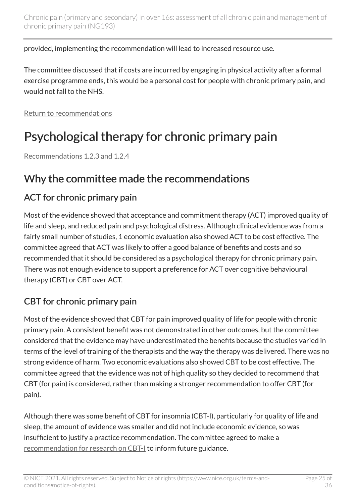provided, implementing the recommendation will lead to increased resource use.

The committee discussed that if costs are incurred by engaging in physical activity after a formal exercise programme ends, this would be a personal cost for people with chronic primary pain, and would not fall to the NHS.

[Return to recommendations](#page-11-1)

## <span id="page-24-0"></span>Psychological therapy for chronic primary pain

[Recommendations 1.2.3 and 1.2.4](#page-11-2)

### Why the committee made the recommendations

#### ACT for chronic primary pain

Most of the evidence showed that acceptance and commitment therapy (ACT) improved quality of life and sleep, and reduced pain and psychological distress. Although clinical evidence was from a fairly small number of studies, 1 economic evaluation also showed ACT to be cost effective. The committee agreed that ACT was likely to offer a good balance of benefits and costs and so recommended that it should be considered as a psychological therapy for chronic primary pain. There was not enough evidence to support a preference for ACT over cognitive behavioural therapy (CBT) or CBT over ACT.

#### CBT for chronic primary pain

Most of the evidence showed that CBT for pain improved quality of life for people with chronic primary pain. A consistent benefit was not demonstrated in other outcomes, but the committee considered that the evidence may have underestimated the benefits because the studies varied in terms of the level of training of the therapists and the way the therapy was delivered. There was no strong evidence of harm. Two economic evaluations also showed CBT to be cost effective. The committee agreed that the evidence was not of high quality so they decided to recommend that CBT (for pain) is considered, rather than making a stronger recommendation to offer CBT (for pain).

Although there was some benefit of CBT for insomnia (CBT-I), particularly for quality of life and sleep, the amount of evidence was smaller and did not include economic evidence, so was insufficient to justify a practice recommendation. The committee agreed to make a [recommendation for research on CBT-I](#page-17-2) to inform future guidance.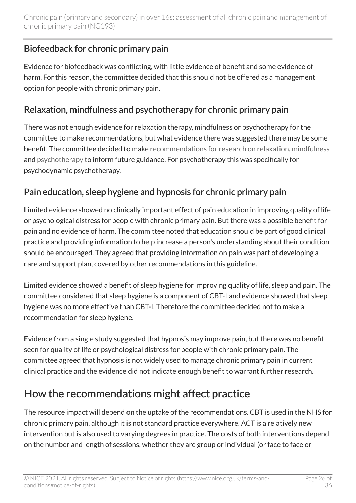#### Biofeedback for chronic primary pain

Evidence for biofeedback was conflicting, with little evidence of benefit and some evidence of harm. For this reason, the committee decided that this should not be offered as a management option for people with chronic primary pain.

#### Relaxation, mindfulness and psychotherapy for chronic primary pain

There was not enough evidence for relaxation therapy, mindfulness or psychotherapy for the committee to make recommendations, but what evidence there was suggested there may be some benefit. The committee decided to make [recommendations for research on relaxation](#page-19-0), [mindfulness](#page-17-3)  and [psychotherapy](#page-19-1) to inform future guidance. For psychotherapy this was specifically for psychodynamic psychotherapy.

#### Pain education, sleep hygiene and hypnosis for chronic primary pain

Limited evidence showed no clinically important effect of pain education in improving quality of life or psychological distress for people with chronic primary pain. But there was a possible benefit for pain and no evidence of harm. The committee noted that education should be part of good clinical practice and providing information to help increase a person's understanding about their condition should be encouraged. They agreed that providing information on pain was part of developing a care and support plan, covered by other recommendations in this guideline.

Limited evidence showed a benefit of sleep hygiene for improving quality of life, sleep and pain. The committee considered that sleep hygiene is a component of CBT-I and evidence showed that sleep hygiene was no more effective than CBT-I. Therefore the committee decided not to make a recommendation for sleep hygiene.

Evidence from a single study suggested that hypnosis may improve pain, but there was no benefit seen for quality of life or psychological distress for people with chronic primary pain. The committee agreed that hypnosis is not widely used to manage chronic primary pain in current clinical practice and the evidence did not indicate enough benefit to warrant further research.

## How the recommendations might affect practice

The resource impact will depend on the uptake of the recommendations. CBT is used in the NHS for chronic primary pain, although it is not standard practice everywhere. ACT is a relatively new intervention but is also used to varying degrees in practice. The costs of both interventions depend on the number and length of sessions, whether they are group or individual (or face to face or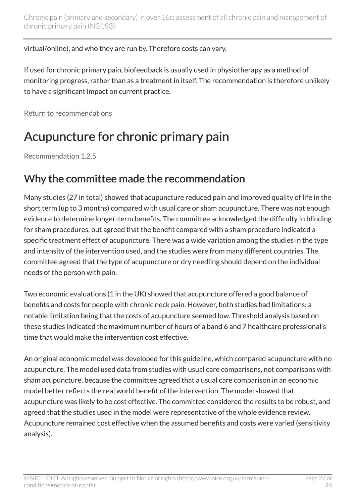virtual/online), and who they are run by. Therefore costs can vary.

If used for chronic primary pain, biofeedback is usually used in physiotherapy as a method of monitoring progress, rather than as a treatment in itself. The recommendation is therefore unlikely to have a significant impact on current practice.

[Return to recommendations](#page-11-2)

## <span id="page-26-0"></span>Acupuncture for chronic primary pain

[Recommendation 1.2.5](#page-12-0) 

### Why the committee made the recommendation

Many studies (27 in total) showed that acupuncture reduced pain and improved quality of life in the short term (up to 3 months) compared with usual care or sham acupuncture. There was not enough evidence to determine longer-term benefits. The committee acknowledged the difficulty in blinding for sham procedures, but agreed that the benefit compared with a sham procedure indicated a specific treatment effect of acupuncture. There was a wide variation among the studies in the type and intensity of the intervention used, and the studies were from many different countries. The committee agreed that the type of acupuncture or dry needling should depend on the individual needs of the person with pain.

Two economic evaluations (1 in the UK) showed that acupuncture offered a good balance of benefits and costs for people with chronic neck pain. However, both studies had limitations; a notable limitation being that the costs of acupuncture seemed low. Threshold analysis based on these studies indicated the maximum number of hours of a band 6 and 7 healthcare professional's time that would make the intervention cost effective.

An original economic model was developed for this guideline, which compared acupuncture with no acupuncture. The model used data from studies with usual care comparisons, not comparisons with sham acupuncture, because the committee agreed that a usual care comparison in an economic model better reflects the real world benefit of the intervention. The model showed that acupuncture was likely to be cost effective. The committee considered the results to be robust, and agreed that the studies used in the model were representative of the whole evidence review. Acupuncture remained cost effective when the assumed benefits and costs were varied (sensitivity analysis).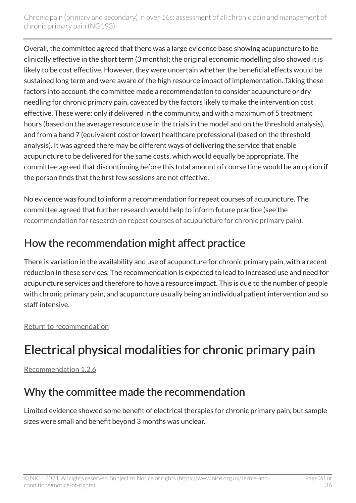Overall, the committee agreed that there was a large evidence base showing acupuncture to be clinically effective in the short term (3 months); the original economic modelling also showed it is likely to be cost effective. However, they were uncertain whether the beneficial effects would be sustained long term and were aware of the high resource impact of implementation. Taking these factors into account, the committee made a recommendation to consider acupuncture or dry needling for chronic primary pain, caveated by the factors likely to make the intervention cost effective. These were: only if delivered in the community, and with a maximum of 5 treatment hours (based on the average resource use in the trials in the model and on the threshold analysis), and from a band 7 (equivalent cost or lower) healthcare professional (based on the threshold analysis). It was agreed there may be different ways of delivering the service that enable acupuncture to be delivered for the same costs, which would equally be appropriate. The committee agreed that discontinuing before this total amount of course time would be an option if the person finds that the first few sessions are not effective.

No evidence was found to inform a recommendation for repeat courses of acupuncture. The committee agreed that further research would help to inform future practice (see the [recommendation for research on repeat courses of acupuncture for chronic primary pain\)](#page-18-2).

## How the recommendation might affect practice

There is variation in the availability and use of acupuncture for chronic primary pain, with a recent reduction in these services. The recommendation is expected to lead to increased use and need for acupuncture services and therefore to have a resource impact. This is due to the number of people with chronic primary pain, and acupuncture usually being an individual patient intervention and so staff intensive.

[Return to recommendation](#page-12-0)

## <span id="page-27-0"></span>Electrical physical modalities for chronic primary pain

[Recommendation 1.2.6](#page-12-1) 

### Why the committee made the recommendation

Limited evidence showed some benefit of electrical therapies for chronic primary pain, but sample sizes were small and benefit beyond 3 months was unclear.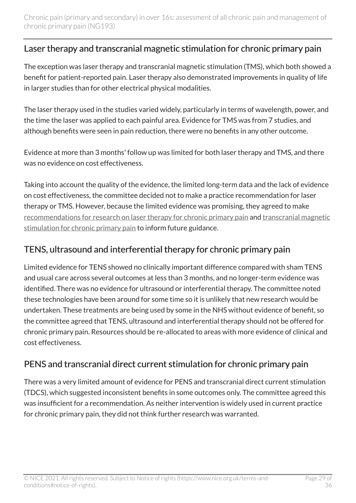#### Laser therapy and transcranial magnetic stimulation for chronic primary pain

The exception was laser therapy and transcranial magnetic stimulation (TMS), which both showed a benefit for patient-reported pain. Laser therapy also demonstrated improvements in quality of life in larger studies than for other electrical physical modalities.

The laser therapy used in the studies varied widely, particularly in terms of wavelength, power, and the time the laser was applied to each painful area. Evidence for TMS was from 7 studies, and although benefits were seen in pain reduction, there were no benefits in any other outcome.

Evidence at more than 3 months' follow up was limited for both laser therapy and TMS, and there was no evidence on cost effectiveness.

Taking into account the quality of the evidence, the limited long-term data and the lack of evidence on cost effectiveness, the committee decided not to make a practice recommendation for laser therapy or TMS. However, because the limited evidence was promising, they agreed to make [recommendations for research on laser therapy for chronic primary pain](#page-20-0) and [transcranial magnetic](#page-20-1) [stimulation for chronic primary pain](#page-20-1) to inform future guidance.

#### TENS, ultrasound and interferential therapy for chronic primary pain

Limited evidence for TENS showed no clinically important difference compared with sham TENS and usual care across several outcomes at less than 3 months, and no longer-term evidence was identified. There was no evidence for ultrasound or interferential therapy. The committee noted these technologies have been around for some time so it is unlikely that new research would be undertaken. These treatments are being used by some in the NHS without evidence of benefit, so the committee agreed that TENS, ultrasound and interferential therapy should not be offered for chronic primary pain. Resources should be re-allocated to areas with more evidence of clinical and cost effectiveness.

#### PENS and transcranial direct current stimulation for chronic primary pain

There was a very limited amount of evidence for PENS and transcranial direct current stimulation (TDCS), which suggested inconsistent benefits in some outcomes only. The committee agreed this was insufficient for a recommendation. As neither intervention is widely used in current practice for chronic primary pain, they did not think further research was warranted.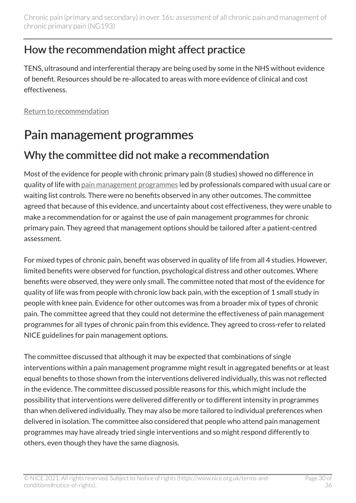## How the recommendation might affect practice

TENS, ultrasound and interferential therapy are being used by some in the NHS without evidence of benefit. Resources should be re-allocated to areas with more evidence of clinical and cost effectiveness.

[Return to recommendation](#page-12-1)

## <span id="page-29-0"></span>Pain management programmes

### Why the committee did not make a recommendation

Most of the evidence for people with chronic primary pain (8 studies) showed no difference in quality of life with [pain management programmes](#page-16-0) led by professionals compared with usual care or waiting list controls. There were no benefits observed in any other outcomes. The committee agreed that because of this evidence, and uncertainty about cost effectiveness, they were unable to make a recommendation for or against the use of pain management programmes for chronic primary pain. They agreed that management options should be tailored after a patient-centred assessment.

For mixed types of chronic pain, benefit was observed in quality of life from all 4 studies. However, limited benefits were observed for function, psychological distress and other outcomes. Where benefits were observed, they were only small. The committee noted that most of the evidence for quality of life was from people with chronic low back pain, with the exception of 1 small study in people with knee pain. Evidence for other outcomes was from a broader mix of types of chronic pain. The committee agreed that they could not determine the effectiveness of pain management programmes for all types of chronic pain from this evidence. They agreed to cross-refer to related NICE guidelines for pain management options.

The committee discussed that although it may be expected that combinations of single interventions within a pain management programme might result in aggregated benefits or at least equal benefits to those shown from the interventions delivered individually, this was not reflected in the evidence. The committee discussed possible reasons for this, which might include the possibility that interventions were delivered differently or to different intensity in programmes than when delivered individually. They may also be more tailored to individual preferences when delivered in isolation. The committee also considered that people who attend pain management programmes may have already tried single interventions and so might respond differently to others, even though they have the same diagnosis.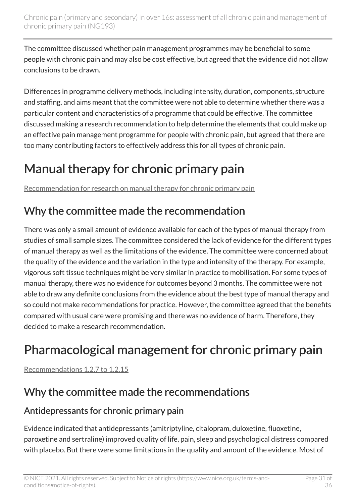The committee discussed whether pain management programmes may be beneficial to some people with chronic pain and may also be cost effective, but agreed that the evidence did not allow conclusions to be drawn.

Differences in programme delivery methods, including intensity, duration, components, structure and staffing, and aims meant that the committee were not able to determine whether there was a particular content and characteristics of a programme that could be effective. The committee discussed making a research recommendation to help determine the elements that could make up an effective pain management programme for people with chronic pain, but agreed that there are too many contributing factors to effectively address this for all types of chronic pain.

## <span id="page-30-0"></span>Manual therapy for chronic primary pain

[Recommendation for research on manual therapy for chronic primary pain](#page-17-4) 

## Why the committee made the recommendation

There was only a small amount of evidence available for each of the types of manual therapy from studies of small sample sizes. The committee considered the lack of evidence for the different types of manual therapy as well as the limitations of the evidence. The committee were concerned about the quality of the evidence and the variation in the type and intensity of the therapy. For example, vigorous soft tissue techniques might be very similar in practice to mobilisation. For some types of manual therapy, there was no evidence for outcomes beyond 3 months. The committee were not able to draw any definite conclusions from the evidence about the best type of manual therapy and so could not make recommendations for practice. However, the committee agreed that the benefits compared with usual care were promising and there was no evidence of harm. Therefore, they decided to make a research recommendation.

## <span id="page-30-1"></span>Pharmacological management for chronic primary pain

[Recommendations 1.2.7 to 1.2.15](#page-13-0) 

## Why the committee made the recommendations

#### Antidepressants for chronic primary pain

Evidence indicated that antidepressants (amitriptyline, citalopram, duloxetine, fluoxetine, paroxetine and sertraline) improved quality of life, pain, sleep and psychological distress compared with placebo. But there were some limitations in the quality and amount of the evidence. Most of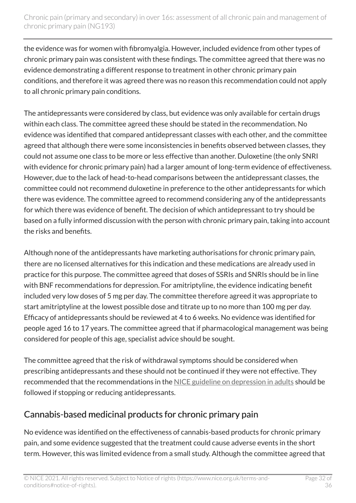the evidence was for women with fibromyalgia. However, included evidence from other types of chronic primary pain was consistent with these findings. The committee agreed that there was no evidence demonstrating a different response to treatment in other chronic primary pain conditions, and therefore it was agreed there was no reason this recommendation could not apply to all chronic primary pain conditions.

The antidepressants were considered by class, but evidence was only available for certain drugs within each class. The committee agreed these should be stated in the recommendation. No evidence was identified that compared antidepressant classes with each other, and the committee agreed that although there were some inconsistencies in benefits observed between classes, they could not assume one class to be more or less effective than another. Duloxetine (the only SNRI with evidence for chronic primary pain) had a larger amount of long-term evidence of effectiveness. However, due to the lack of head-to-head comparisons between the antidepressant classes, the committee could not recommend duloxetine in preference to the other antidepressants for which there was evidence. The committee agreed to recommend considering any of the antidepressants for which there was evidence of benefit. The decision of which antidepressant to try should be based on a fully informed discussion with the person with chronic primary pain, taking into account the risks and benefits.

Although none of the antidepressants have marketing authorisations for chronic primary pain, there are no licensed alternatives for this indication and these medications are already used in practice for this purpose. The committee agreed that doses of SSRIs and SNRIs should be in line with BNF recommendations for depression. For amitriptyline, the evidence indicating benefit included very low doses of 5 mg per day. The committee therefore agreed it was appropriate to start amitriptyline at the lowest possible dose and titrate up to no more than 100 mg per day. Efficacy of antidepressants should be reviewed at 4 to 6 weeks. No evidence was identified for people aged 16 to 17 years. The committee agreed that if pharmacological management was being considered for people of this age, specialist advice should be sought.

The committee agreed that the risk of withdrawal symptoms should be considered when prescribing antidepressants and these should not be continued if they were not effective. They recommended that the recommendations in the [NICE guideline on depression in adults](https://www.nice.org.uk/guidance/cg90) should be followed if stopping or reducing antidepressants.

#### Cannabis-based medicinal products for chronic primary pain

No evidence was identified on the effectiveness of cannabis-based products for chronic primary pain, and some evidence suggested that the treatment could cause adverse events in the short term. However, this was limited evidence from a small study. Although the committee agreed that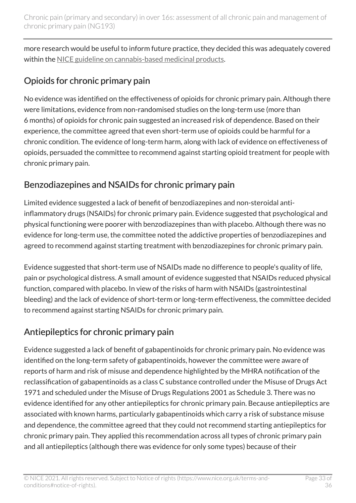more research would be useful to inform future practice, they decided this was adequately covered within the [NICE guideline on cannabis-based medicinal products.](https://www.nice.org.uk/guidance/ng144)

#### Opioids for chronic primary pain

No evidence was identified on the effectiveness of opioids for chronic primary pain. Although there were limitations, evidence from non-randomised studies on the long-term use (more than 6 months) of opioids for chronic pain suggested an increased risk of dependence. Based on their experience, the committee agreed that even short-term use of opioids could be harmful for a chronic condition. The evidence of long-term harm, along with lack of evidence on effectiveness of opioids, persuaded the committee to recommend against starting opioid treatment for people with chronic primary pain.

#### Benzodiazepines and NSAIDs for chronic primary pain

Limited evidence suggested a lack of benefit of benzodiazepines and non-steroidal antiinflammatory drugs (NSAIDs) for chronic primary pain. Evidence suggested that psychological and physical functioning were poorer with benzodiazepines than with placebo. Although there was no evidence for long-term use, the committee noted the addictive properties of benzodiazepines and agreed to recommend against starting treatment with benzodiazepines for chronic primary pain.

Evidence suggested that short-term use of NSAIDs made no difference to people's quality of life, pain or psychological distress. A small amount of evidence suggested that NSAIDs reduced physical function, compared with placebo. In view of the risks of harm with NSAIDs (gastrointestinal bleeding) and the lack of evidence of short-term or long-term effectiveness, the committee decided to recommend against starting NSAIDs for chronic primary pain.

#### Antiepileptics for chronic primary pain

Evidence suggested a lack of benefit of gabapentinoids for chronic primary pain. No evidence was identified on the long-term safety of gabapentinoids, however the committee were aware of reports of harm and risk of misuse and dependence highlighted by the MHRA notification of the reclassification of gabapentinoids as a class C substance controlled under the Misuse of Drugs Act 1971 and scheduled under the Misuse of Drugs Regulations 2001 as Schedule 3. There was no evidence identified for any other antiepileptics for chronic primary pain. Because antiepileptics are associated with known harms, particularly gabapentinoids which carry a risk of substance misuse and dependence, the committee agreed that they could not recommend starting antiepileptics for chronic primary pain. They applied this recommendation across all types of chronic primary pain and all antiepileptics (although there was evidence for only some types) because of their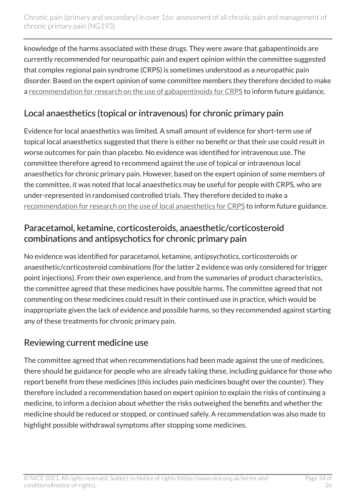knowledge of the harms associated with these drugs. They were aware that gabapentinoids are currently recommended for neuropathic pain and expert opinion within the committee suggested that complex regional pain syndrome (CRPS) is sometimes understood as a neuropathic pain disorder. Based on the expert opinion of some committee members they therefore decided to make a [recommendation for research on the use of gabapentinoids for CRPS](#page-18-1) to inform future guidance.

#### Local anaesthetics (topical or intravenous) for chronic primary pain

Evidence for local anaesthetics was limited. A small amount of evidence for short-term use of topical local anaesthetics suggested that there is either no benefit or that their use could result in worse outcomes for pain than placebo. No evidence was identified for intravenous use. The committee therefore agreed to recommend against the use of topical or intravenous local anaesthetics for chronic primary pain. However, based on the expert opinion of some members of the committee, it was noted that local anaesthetics may be useful for people with CRPS, who are under-represented in randomised controlled trials. They therefore decided to make a [recommendation for research on the use of local anaesthetics for CRPS](#page-18-1) to inform future guidance.

#### Paracetamol, ketamine, corticosteroids, anaesthetic/corticosteroid combinations and antipsychotics for chronic primary pain

No evidence was identified for paracetamol, ketamine, antipsychotics, corticosteroids or anaesthetic/corticosteroid combinations (for the latter 2 evidence was only considered for trigger point injections). From their own experience, and from the summaries of product characteristics, the committee agreed that these medicines have possible harms. The committee agreed that not commenting on these medicines could result in their continued use in practice, which would be inappropriate given the lack of evidence and possible harms, so they recommended against starting any of these treatments for chronic primary pain.

#### Reviewing current medicine use

The committee agreed that when recommendations had been made against the use of medicines, there should be guidance for people who are already taking these, including guidance for those who report benefit from these medicines (this includes pain medicines bought over the counter). They therefore included a recommendation based on expert opinion to explain the risks of continuing a medicine, to inform a decision about whether the risks outweighed the benefits and whether the medicine should be reduced or stopped, or continued safely. A recommendation was also made to highlight possible withdrawal symptoms after stopping some medicines.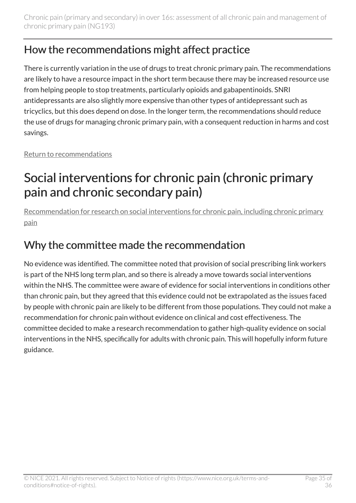### How the recommendations might affect practice

There is currently variation in the use of drugs to treat chronic primary pain. The recommendations are likely to have a resource impact in the short term because there may be increased resource use from helping people to stop treatments, particularly opioids and gabapentinoids. SNRI antidepressants are also slightly more expensive than other types of antidepressant such as tricyclics, but this does depend on dose. In the longer term, the recommendations should reduce the use of drugs for managing chronic primary pain, with a consequent reduction in harms and cost savings.

[Return to recommendations](#page-13-0)

## <span id="page-34-0"></span>Social interventions for chronic pain (chronic primary pain and chronic secondary pain)

[Recommendation for research on social interventions for chronic pain, including chronic primary](#page-19-2)  [pain](#page-19-2)

### Why the committee made the recommendation

No evidence was identified. The committee noted that provision of social prescribing link workers is part of the NHS long term plan, and so there is already a move towards social interventions within the NHS. The committee were aware of evidence for social interventions in conditions other than chronic pain, but they agreed that this evidence could not be extrapolated as the issues faced by people with chronic pain are likely to be different from those populations. They could not make a recommendation for chronic pain without evidence on clinical and cost effectiveness. The committee decided to make a research recommendation to gather high-quality evidence on social interventions in the NHS, specifically for adults with chronic pain. This will hopefully inform future guidance.